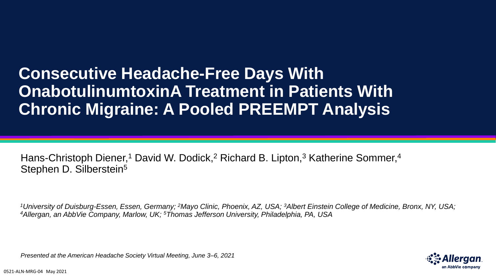# **Consecutive Headache-Free Days With OnabotulinumtoxinA Treatment in Patients With Chronic Migraine: A Pooled PREEMPT Analysis**

Hans-Christoph Diener,<sup>1</sup> David W. Dodick,<sup>2</sup> Richard B. Lipton,<sup>3</sup> Katherine Sommer,<sup>4</sup> Stephen D. Silberstein<sup>5</sup>

*<sup>1</sup>University of Duisburg-Essen, Essen, Germany; <sup>2</sup>Mayo Clinic, Phoenix, AZ, USA; <sup>3</sup>Albert Einstein College of Medicine, Bronx, NY, USA; <sup>4</sup>Allergan, an AbbVie Company, Marlow, UK; <sup>5</sup>Thomas Jefferson University, Philadelphia, PA, USA*

*Presented at the American Headache Society Virtual Meeting, June 3–6, 2021*

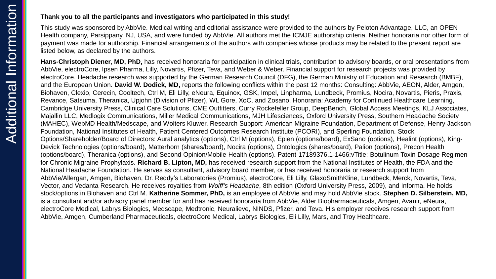#### **Thank you to all the participants and investigators who participated in this study!**

This study was sponsored by AbbVie. Medical writing and editorial assistance were provided to the authors by Peloton Advantage, LLC, an OPEN Health company, Parsippany, NJ, USA, and were funded by AbbVie. All authors met the ICMJE authorship criteria. Neither honoraria nor other form of payment was made for authorship. Financial arrangements of the authors with companies whose products may be related to the present report are listed below, as declared by the authors.

**Hans-Christoph Diener, MD, PhD,** has received honoraria for participation in clinical trials, contribution to advisory boards, or oral presentations from AbbVie, electroCore, Ipsen Pharma, Lilly, Novartis, Pfizer, Teva, and Weber & Weber. Financial support for research projects was provided by electroCore. Headache research was supported by the German Research Council (DFG), the German Ministry of Education and Research (BMBF), and the European Union. **David W. Dodick, MD,** reports the following conflicts within the past 12 months: Consulting: AbbVie, AEON, Alder, Amgen, Biohaven, Clexio, Cerecin, Cooltech, Ctrl M, Eli Lilly, eNeura, Equinox, GSK, Impel, Linpharma, Lundbeck, Promius, Nocira, Novartis, Pieris, Praxis, Revance, Satsuma, Theranica, Upjohn (Division of Pfizer), WL Gore, XoC, and Zosano. Honoraria: Academy for Continued Healthcare Learning, Cambridge University Press, Clinical Care Solutions, CME Outfitters, Curry Rockefeller Group, DeepBench, Global Access Meetings, KLJ Associates, Majallin LLC, Medlogix Communications, Miller Medical Communications, MJH Lifesciences, Oxford University Press, Southern Headache Society (MAHEC), WebMD Health/Medscape, and Wolters Kluwer. Research Support: American Migraine Foundation, Department of Defense, Henry Jackson Foundation, National Institutes of Health, Patient Centered Outcomes Research Institute (PCORI), and Sperling Foundation. Stock Options/Shareholder/Board of Directors: Aural analytics (options), Ctrl M (options), Epien (options/board), ExSano (options), Healint (options), King-Devick Technologies (options/board), Matterhorn (shares/board), Nocira (options), Ontologics (shares/board), Palion (options), Precon Health (options/board), Theranica (options), and Second Opinion/Mobile Health (options). Patent 17189376.1-1466:vTitle: Botulinum Toxin Dosage Regimen for Chronic Migraine Prophylaxis. **Richard B. Lipton, MD,** has received research support from the National Institutes of Health, the FDA and the National Headache Foundation. He serves as consultant, advisory board member, or has received honoraria or research support from AbbVie/Allergan, Amgen, Biohaven, Dr. Reddy's Laboratories (Promius), electroCore, Eli Lilly, GlaxoSmithKline, Lundbeck, Merck, Novartis, Teva, Vector, and Vedanta Research. He receives royalties from *Wolff's Headache*, 8th edition (Oxford University Press, 2009), and Informa. He holds stock/options in Biohaven and Ctrl M. **Katherine Sommer, PhD,** is an employee of AbbVie and may hold AbbVie stock. **Stephen D. Silberstein, MD,**  is a consultant and/or advisory panel member for and has received honoraria from AbbVie, Alder Biopharmaceuticals, Amgen, Avanir, eNeura, electroCore Medical, Labrys Biologics, Medscape, Medtronic, Neuralieve, NINDS, Pfizer, and Teva. His employer receives research support from AbbVie, Amgen, Cumberland Pharmaceuticals, electroCore Medical, Labrys Biologics, Eli Lilly, Mars, and Troy Healthcare.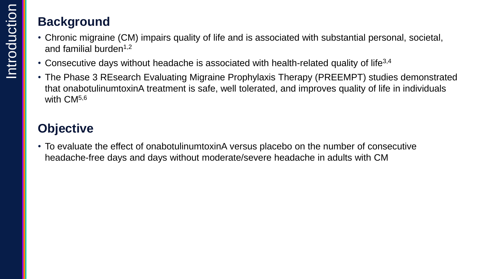## **Background**

- Chronic migraine (CM) impairs quality of life and is associated with substantial personal, societal, and familial burden<sup> $1,2$ </sup>
- Consecutive days without headache is associated with health-related quality of life<sup>3,4</sup>
- The Phase 3 REsearch Evaluating Migraine Prophylaxis Therapy (PREEMPT) studies demonstrated that onabotulinumtoxinA treatment is safe, well tolerated, and improves quality of life in individuals with CM<sup>5,6</sup>

## **Objective**

• To evaluate the effect of onabotulinumtoxinA versus placebo on the number of consecutive headache-free days and days without moderate/severe headache in adults with CM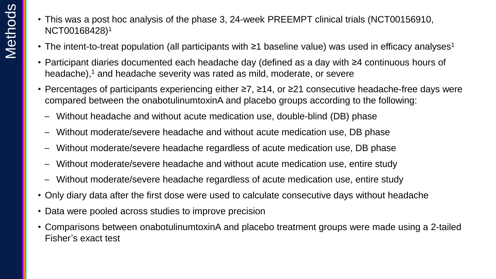- This was a post hoc analysis of the phase 3, 24-week PREEMPT clinical trials (NCT00156910, NCT00168428) 1
- The intent-to-treat population (all participants with  $\geq$ 1 baseline value) was used in efficacy analyses<sup>1</sup>
- Participant diaries documented each headache day (defined as a day with ≥4 continuous hours of headache),<sup>1</sup> and headache severity was rated as mild, moderate, or severe
- Percentages of participants experiencing either ≥7, ≥14, or ≥21 consecutive headache-free days were compared between the onabotulinumtoxinA and placebo groups according to the following:
	- Without headache and without acute medication use, double-blind (DB) phase
	- Without moderate/severe headache and without acute medication use, DB phase
	- Without moderate/severe headache regardless of acute medication use, DB phase
	- Without moderate/severe headache and without acute medication use, entire study
	- Without moderate/severe headache regardless of acute medication use, entire study
- Only diary data after the first dose were used to calculate consecutive days without headache
- Data were pooled across studies to improve precision
- Comparisons between onabotulinumtoxinA and placebo treatment groups were made using a 2-tailed Fisher's exact test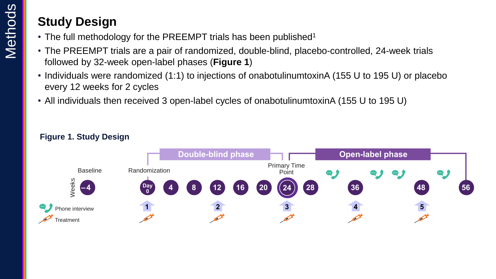## **Study Design**

- The full methodology for the PREEMPT trials has been published<sup>1</sup>
- The PREEMPT trials are a pair of randomized, double-blind, placebo-controlled, 24-week trials followed by 32-week open-label phases (**Figure 1**)
- Individuals were randomized (1:1) to injections of onabotulinumtoxinA (155 U to 195 U) or placebo every 12 weeks for 2 cycles
- All individuals then received 3 open-label cycles of onabotulinumtoxinA (155 U to 195 U)



### **Figure 1. Study Design**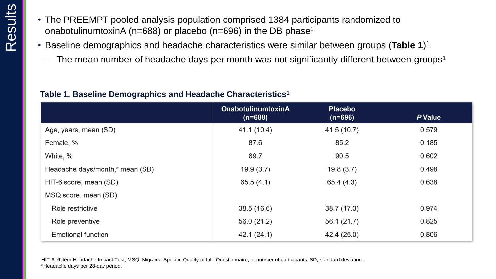- The PREEMPT pooled analysis population comprised 1384 participants randomized to onabotulinumtoxinA (n=688) or placebo (n=696) in the DB phase<sup>1</sup>
- Baseline demographics and headache characteristics were similar between groups (**Table 1**) 1
	- $-$  The mean number of headache days per month was not significantly different between groups<sup>1</sup>

### **Table 1. Baseline Demographics and Headache Characteristics<sup>1</sup>**

|                                             | <b>OnabotulinumtoxinA</b><br>$(n=688)$ | <b>Placebo</b><br>$(n=696)$ | P Value |
|---------------------------------------------|----------------------------------------|-----------------------------|---------|
| Age, years, mean (SD)                       | 41.1 (10.4)                            | 41.5 (10.7)                 | 0.579   |
| Female, %                                   | 87.6                                   | 85.2                        | 0.185   |
| White, %                                    | 89.7                                   | 90.5                        | 0.602   |
| Headache days/month, <sup>a</sup> mean (SD) | 19.9(3.7)                              | 19.8(3.7)                   | 0.498   |
| HIT-6 score, mean (SD)                      | 65.5(4.1)                              | 65.4 (4.3)                  | 0.638   |
| MSQ score, mean (SD)                        |                                        |                             |         |
| Role restrictive                            | 38.5 (16.6)                            | 38.7 (17.3)                 | 0.974   |
| Role preventive                             | 56.0 (21.2)                            | 56.1 (21.7)                 | 0.825   |
| <b>Emotional function</b>                   | 42.1(24.1)                             | 42.4 (25.0)                 | 0.806   |

HIT-6, 6-item Headache Impact Test; MSQ, Migraine-Specific Quality of Life Questionnaire; n, number of participants; SD, standard deviation. aHeadache days per 28-day period.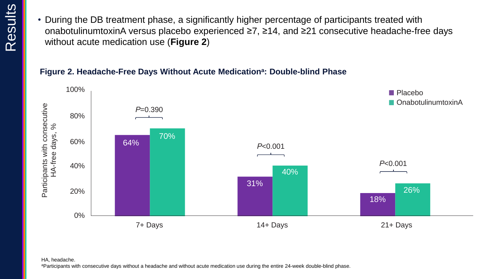• During the DB treatment phase, a significantly higher percentage of participants treated with onabotulinumtoxinA versus placebo experienced ≥7, ≥14, and ≥21 consecutive headache-free days without acute medication use (**Figure 2**)

## **Figure 2. Headache-Free Days Without Acute Medication<sup>a</sup> : Double-blind Phase**



#### HA, headache.

aParticipants with consecutive days without a headache and without acute medication use during the entire 24-week double-blind phase.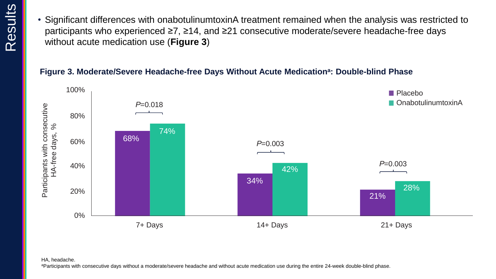• Significant differences with onabotulinumtoxinA treatment remained when the analysis was restricted to participants who experienced ≥7, ≥14, and ≥21 consecutive moderate/severe headache-free days without acute medication use (**Figure 3**)

### **Figure 3. Moderate/Severe Headache-free Days Without Acute Medication<sup>a</sup> : Double-blind Phase**



#### HA, headache.

aParticipants with consecutive days without a moderate/severe headache and without acute medication use during the entire 24-week double-blind phase.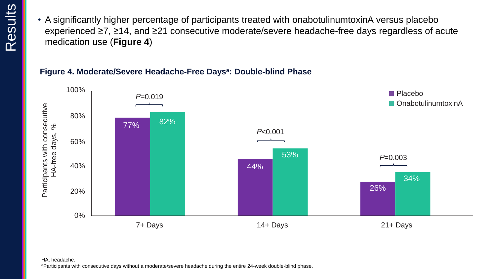• A significantly higher percentage of participants treated with onabotulinumtoxinA versus placebo experienced ≥7, ≥14, and ≥21 consecutive moderate/severe headache-free days regardless of acute medication use (**Figure 4**)

### **Figure 4. Moderate/Severe Headache-Free Days<sup>a</sup> : Double-blind Phase**

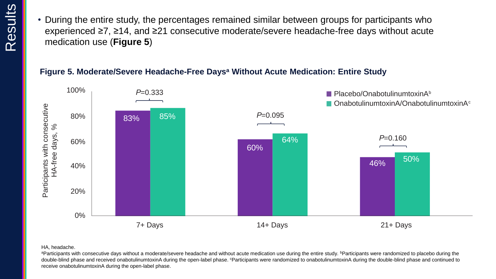• During the entire study, the percentages remained similar between groups for participants who experienced ≥7, ≥14, and ≥21 consecutive moderate/severe headache-free days without acute medication use (**Figure 5**)

### **Figure 5. Moderate/Severe Headache-Free Days<sup>a</sup> Without Acute Medication: Entire Study**



#### HA, headache.

aParticipants with consecutive days without a moderate/severe headache and without acute medication use during the entire study. **Participants were randomized to placebo during the** double-blind phase and received onabotulinumtoxinA during the open-label phase. <sup>c</sup>Participants were randomized to onabotulinumtoxinA during the double-blind phase and continued to receive onabotulinumtoxinA during the open-label phase.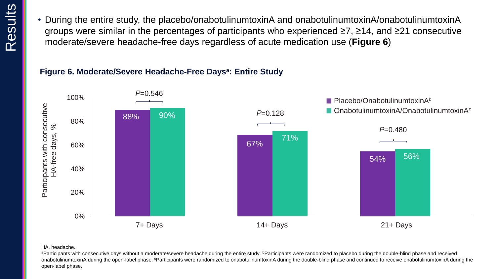• During the entire study, the placebo/onabotulinumtoxinA and onabotulinumtoxinA/onabotulinumtoxinA groups were similar in the percentages of participants who experienced ≥7, ≥14, and ≥21 consecutive moderate/severe headache-free days regardless of acute medication use (**Figure 6**)

#### **Figure 6. Moderate/Severe Headache-Free Days<sup>a</sup> : Entire Study**



#### HA, headache.

aParticipants with consecutive days without a moderate/severe headache during the entire study. *bParticipants* were randomized to placebo during the double-blind phase and received onabotulinumtoxinA during the open-label phase. <sup>c</sup>Participants were randomized to onabotulinumtoxinA during the double-blind phase and continued to receive onabotulinumtoxinA during the open-label phase.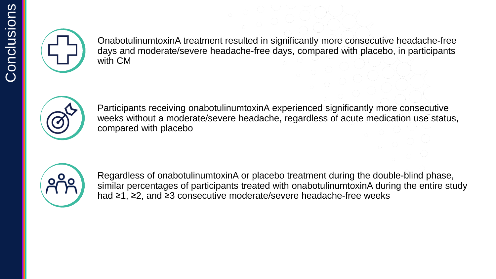

OnabotulinumtoxinA treatment resulted in significantly more consecutive headache-free days and moderate/severe headache-free days, compared with placebo, in participants with CM



Participants receiving onabotulinumtoxinA experienced significantly more consecutive weeks without a moderate/severe headache, regardless of acute medication use status, compared with placebo



Regardless of onabotulinumtoxinA or placebo treatment during the double-blind phase, similar percentages of participants treated with onabotulinumtoxinA during the entire study had ≥1, ≥2, and ≥3 consecutive moderate/severe headache-free weeks